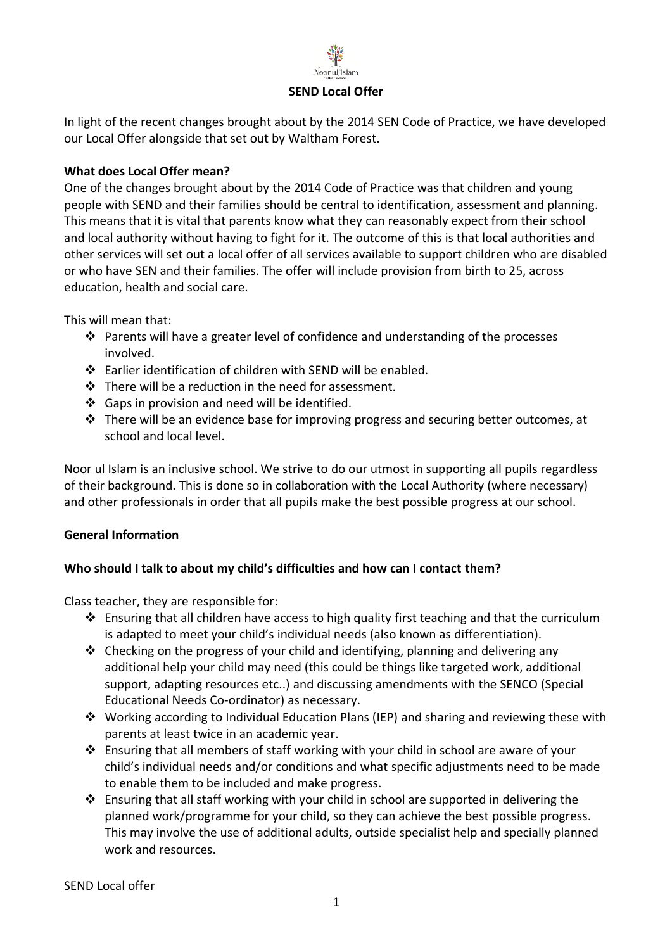

#### **SEND Local Offer**

In light of the recent changes brought about by the 2014 SEN Code of Practice, we have developed our Local Offer alongside that set out by Waltham Forest.

## **What does Local Offer mean?**

One of the changes brought about by the 2014 Code of Practice was that children and young people with SEND and their families should be central to identification, assessment and planning. This means that it is vital that parents know what they can reasonably expect from their school and local authority without having to fight for it. The outcome of this is that local authorities and other services will set out a local offer of all services available to support children who are disabled or who have SEN and their families. The offer will include provision from birth to 25, across education, health and social care.

This will mean that:

- ❖ Parents will have a greater level of confidence and understanding of the processes involved.
- ❖ Earlier identification of children with SEND will be enabled.
- ❖ There will be a reduction in the need for assessment.
- ❖ Gaps in provision and need will be identified.
- ❖ There will be an evidence base for improving progress and securing better outcomes, at school and local level.

Noor ul Islam is an inclusive school. We strive to do our utmost in supporting all pupils regardless of their background. This is done so in collaboration with the Local Authority (where necessary) and other professionals in order that all pupils make the best possible progress at our school.

## **General Information**

# **Who should I talk to about my child's difficulties and how can I contact them?**

Class teacher, they are responsible for:

- ❖ Ensuring that all children have access to high quality first teaching and that the curriculum is adapted to meet your child's individual needs (also known as differentiation).
- $\triangle$  Checking on the progress of your child and identifying, planning and delivering any additional help your child may need (this could be things like targeted work, additional support, adapting resources etc..) and discussing amendments with the SENCO (Special Educational Needs Co-ordinator) as necessary.
- ❖ Working according to Individual Education Plans (IEP) and sharing and reviewing these with parents at least twice in an academic year.
- ❖ Ensuring that all members of staff working with your child in school are aware of your child's individual needs and/or conditions and what specific adjustments need to be made to enable them to be included and make progress.
- ❖ Ensuring that all staff working with your child in school are supported in delivering the planned work/programme for your child, so they can achieve the best possible progress. This may involve the use of additional adults, outside specialist help and specially planned work and resources.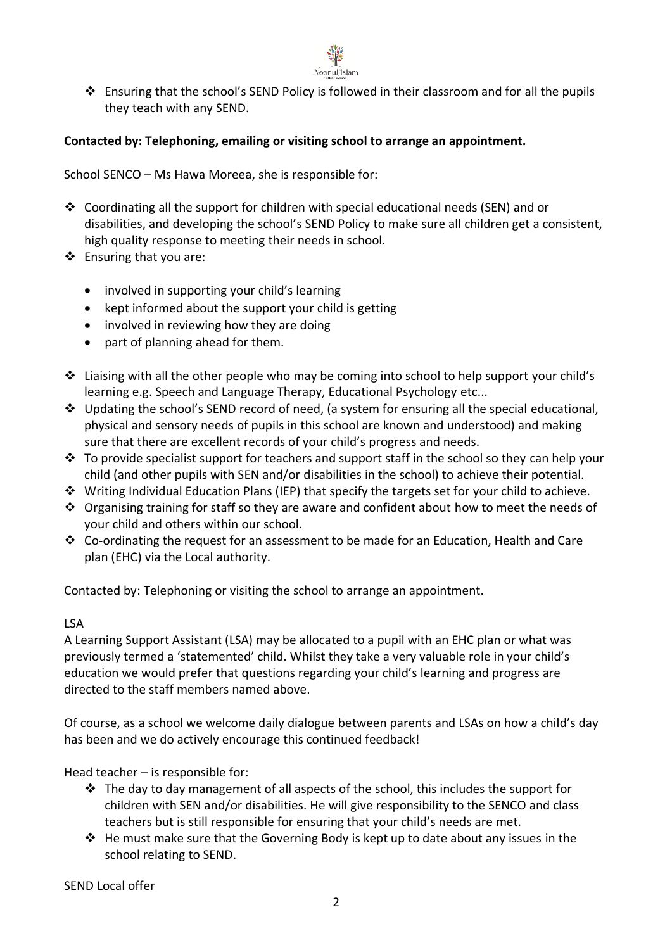

 $\dots$  Ensuring that the school's SEND Policy is followed in their classroom and for all the pupils they teach with any SEND.

## **Contacted by: Telephoning, emailing or visiting school to arrange an appointment.**

School SENCO – Ms Hawa Moreea, she is responsible for:

- ❖ Coordinating all the support for children with special educational needs (SEN) and or disabilities, and developing the school's SEND Policy to make sure all children get a consistent, high quality response to meeting their needs in school.
- ❖ Ensuring that you are:
	- involved in supporting your child's learning
	- kept informed about the support your child is getting
	- involved in reviewing how they are doing
	- part of planning ahead for them.
- ❖ Liaising with all the other people who may be coming into school to help support your child's learning e.g. Speech and Language Therapy, Educational Psychology etc...
- ❖ Updating the school's SEND record of need, (a system for ensuring all the special educational, physical and sensory needs of pupils in this school are known and understood) and making sure that there are excellent records of your child's progress and needs.
- $\cdot \cdot$  To provide specialist support for teachers and support staff in the school so they can help your child (and other pupils with SEN and/or disabilities in the school) to achieve their potential.
- ❖ Writing Individual Education Plans (IEP) that specify the targets set for your child to achieve.
- ◆ Organising training for staff so they are aware and confident about how to meet the needs of your child and others within our school.
- ❖ Co-ordinating the request for an assessment to be made for an Education, Health and Care plan (EHC) via the Local authority.

Contacted by: Telephoning or visiting the school to arrange an appointment.

#### LSA

A Learning Support Assistant (LSA) may be allocated to a pupil with an EHC plan or what was previously termed a 'statemented' child. Whilst they take a very valuable role in your child's education we would prefer that questions regarding your child's learning and progress are directed to the staff members named above.

Of course, as a school we welcome daily dialogue between parents and LSAs on how a child's day has been and we do actively encourage this continued feedback!

Head teacher – is responsible for:

- ❖ The day to day management of all aspects of the school, this includes the support for children with SEN and/or disabilities. He will give responsibility to the SENCO and class teachers but is still responsible for ensuring that your child's needs are met.
- ❖ He must make sure that the Governing Body is kept up to date about any issues in the school relating to SEND.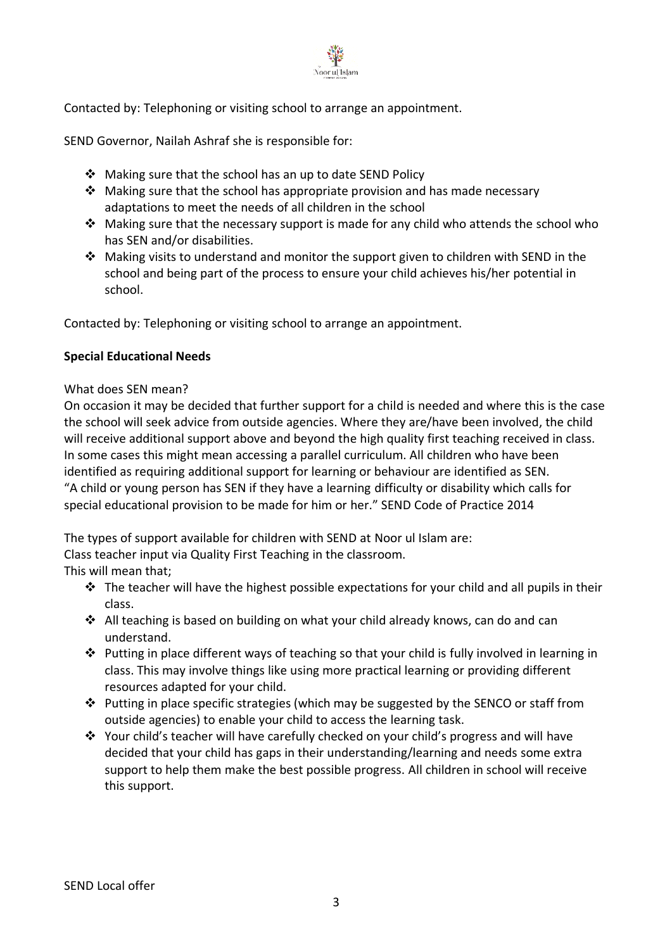

Contacted by: Telephoning or visiting school to arrange an appointment.

SEND Governor, Nailah Ashraf she is responsible for:

- ❖ Making sure that the school has an up to date SEND Policy
- ❖ Making sure that the school has appropriate provision and has made necessary adaptations to meet the needs of all children in the school
- $\dots$  Making sure that the necessary support is made for any child who attends the school who has SEN and/or disabilities.
- ❖ Making visits to understand and monitor the support given to children with SEND in the school and being part of the process to ensure your child achieves his/her potential in school.

Contacted by: Telephoning or visiting school to arrange an appointment.

#### **Special Educational Needs**

#### What does SEN mean?

On occasion it may be decided that further support for a child is needed and where this is the case the school will seek advice from outside agencies. Where they are/have been involved, the child will receive additional support above and beyond the high quality first teaching received in class. In some cases this might mean accessing a parallel curriculum. All children who have been identified as requiring additional support for learning or behaviour are identified as SEN. "A child or young person has SEN if they have a learning difficulty or disability which calls for special educational provision to be made for him or her." SEND Code of Practice 2014

The types of support available for children with SEND at Noor ul Islam are:

Class teacher input via Quality First Teaching in the classroom.

This will mean that;

- ❖ The teacher will have the highest possible expectations for your child and all pupils in their class.
- ❖ All teaching is based on building on what your child already knows, can do and can understand.
- ❖ Putting in place different ways of teaching so that your child is fully involved in learning in class. This may involve things like using more practical learning or providing different resources adapted for your child.
- $\dots$  Putting in place specific strategies (which may be suggested by the SENCO or staff from outside agencies) to enable your child to access the learning task.
- ❖ Your child's teacher will have carefully checked on your child's progress and will have decided that your child has gaps in their understanding/learning and needs some extra support to help them make the best possible progress. All children in school will receive this support.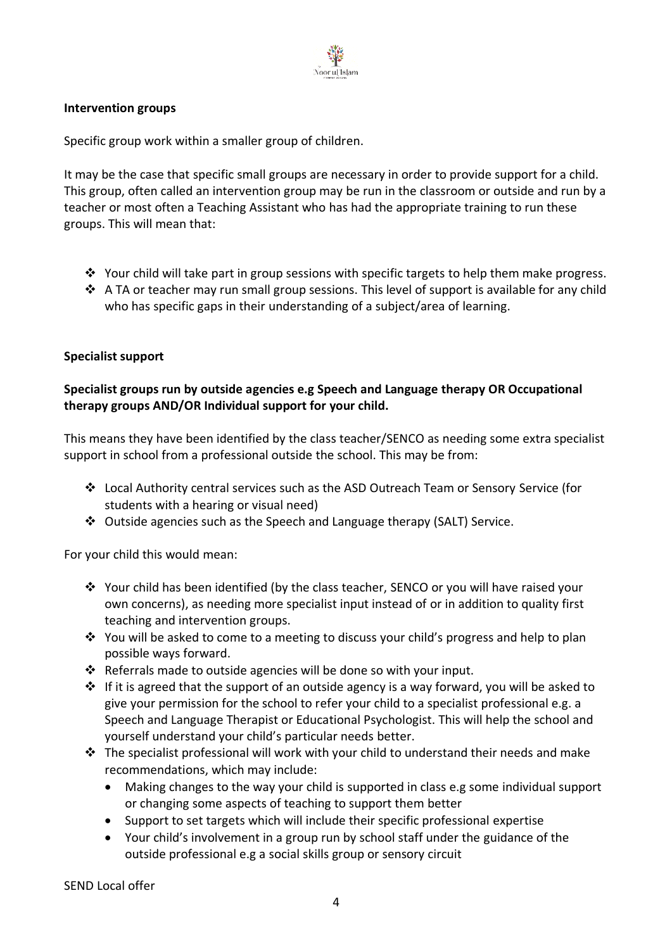

### **Intervention groups**

Specific group work within a smaller group of children.

It may be the case that specific small groups are necessary in order to provide support for a child. This group, often called an intervention group may be run in the classroom or outside and run by a teacher or most often a Teaching Assistant who has had the appropriate training to run these groups. This will mean that:

- ❖ Your child will take part in group sessions with specific targets to help them make progress.
- ❖ A TA or teacher may run small group sessions. This level of support is available for any child who has specific gaps in their understanding of a subject/area of learning.

### **Specialist support**

## **Specialist groups run by outside agencies e.g Speech and Language therapy OR Occupational therapy groups AND/OR Individual support for your child.**

This means they have been identified by the class teacher/SENCO as needing some extra specialist support in school from a professional outside the school. This may be from:

- ❖ Local Authority central services such as the ASD Outreach Team or Sensory Service (for students with a hearing or visual need)
- ❖ Outside agencies such as the Speech and Language therapy (SALT) Service.

For your child this would mean:

- ❖ Your child has been identified (by the class teacher, SENCO or you will have raised your own concerns), as needing more specialist input instead of or in addition to quality first teaching and intervention groups.
- ❖ You will be asked to come to a meeting to discuss your child's progress and help to plan possible ways forward.
- ❖ Referrals made to outside agencies will be done so with your input.
- $\dots$  If it is agreed that the support of an outside agency is a way forward, you will be asked to give your permission for the school to refer your child to a specialist professional e.g. a Speech and Language Therapist or Educational Psychologist. This will help the school and yourself understand your child's particular needs better.
- ❖ The specialist professional will work with your child to understand their needs and make recommendations, which may include:
	- Making changes to the way your child is supported in class e.g some individual support or changing some aspects of teaching to support them better
	- Support to set targets which will include their specific professional expertise
	- Your child's involvement in a group run by school staff under the guidance of the outside professional e.g a social skills group or sensory circuit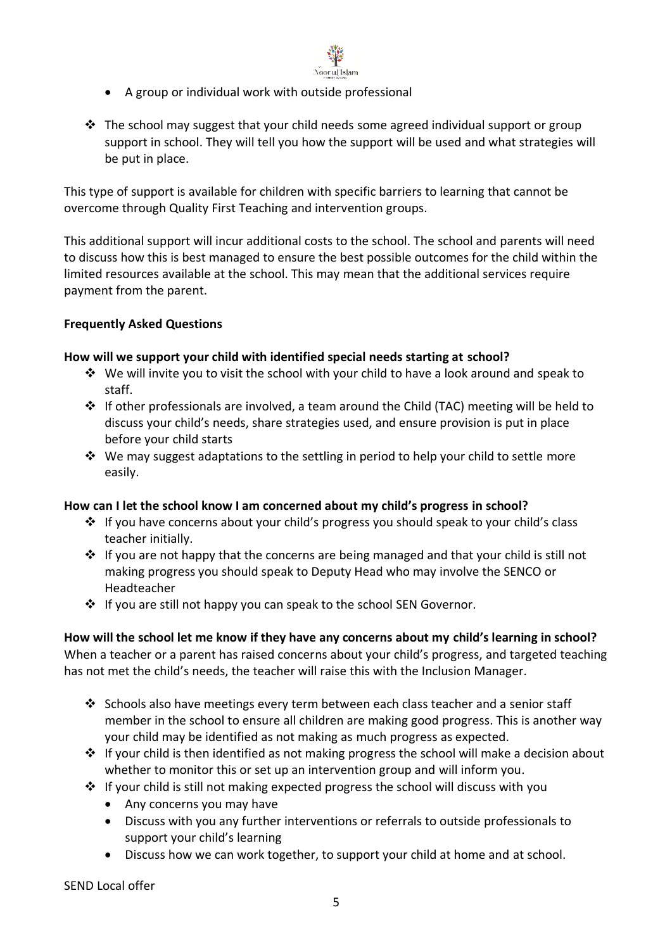

- A group or individual work with outside professional
- ❖ The school may suggest that your child needs some agreed individual support or group support in school. They will tell you how the support will be used and what strategies will be put in place.

This type of support is available for children with specific barriers to learning that cannot be overcome through Quality First Teaching and intervention groups.

This additional support will incur additional costs to the school. The school and parents will need to discuss how this is best managed to ensure the best possible outcomes for the child within the limited resources available at the school. This may mean that the additional services require payment from the parent.

## **Frequently Asked Questions**

#### **How will we support your child with identified special needs starting at school?**

- ❖ We will invite you to visit the school with your child to have a look around and speak to staff.
- $\dots$  If other professionals are involved, a team around the Child (TAC) meeting will be held to discuss your child's needs, share strategies used, and ensure provision is put in place before your child starts
- $\dots$  We may suggest adaptations to the settling in period to help your child to settle more easily.

#### **How can I let the school know I am concerned about my child's progress in school?**

- ❖ If you have concerns about your child's progress you should speak to your child's class teacher initially.
- $\cdot \cdot$  If you are not happy that the concerns are being managed and that your child is still not making progress you should speak to Deputy Head who may involve the SENCO or Headteacher
- ❖ If you are still not happy you can speak to the school SEN Governor.

**How will the school let me know if they have any concerns about my child's learning in school?** When a teacher or a parent has raised concerns about your child's progress, and targeted teaching has not met the child's needs, the teacher will raise this with the Inclusion Manager.

- ❖ Schools also have meetings every term between each class teacher and a senior staff member in the school to ensure all children are making good progress. This is another way your child may be identified as not making as much progress as expected.
- $\dots$  If your child is then identified as not making progress the school will make a decision about whether to monitor this or set up an intervention group and will inform you.
- ❖ If your child is still not making expected progress the school will discuss with you
	- Any concerns you may have
	- Discuss with you any further interventions or referrals to outside professionals to support your child's learning
	- Discuss how we can work together, to support your child at home and at school.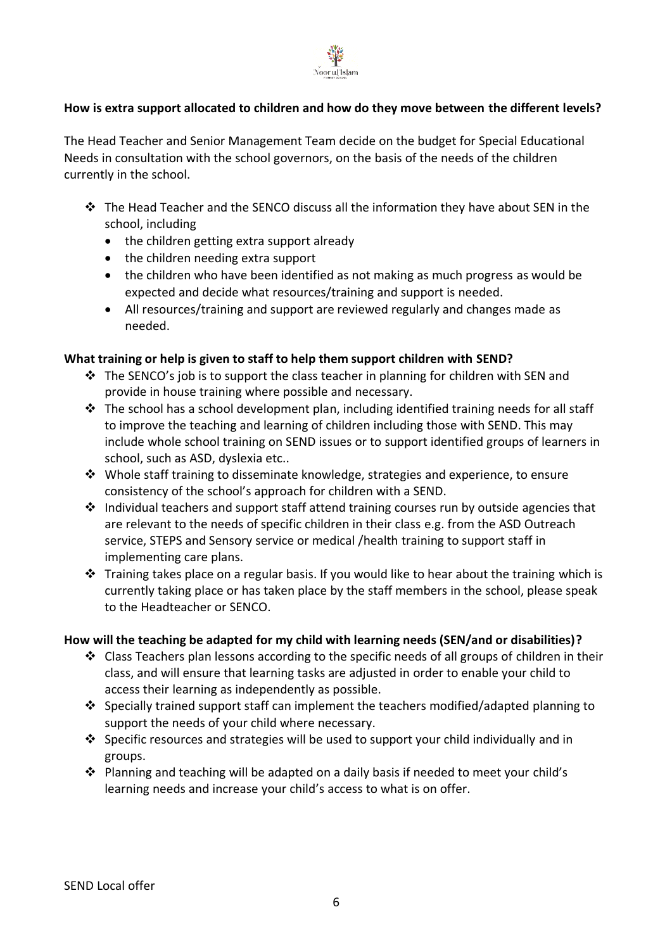

## **How is extra support allocated to children and how do they move between the different levels?**

The Head Teacher and Senior Management Team decide on the budget for Special Educational Needs in consultation with the school governors, on the basis of the needs of the children currently in the school.

- ❖ The Head Teacher and the SENCO discuss all the information they have about SEN in the school, including
	- the children getting extra support already
	- the children needing extra support
	- the children who have been identified as not making as much progress as would be expected and decide what resources/training and support is needed.
	- All resources/training and support are reviewed regularly and changes made as needed.

#### **What training or help is given to staff to help them support children with SEND?**

- ❖ The SENCO's job is to support the class teacher in planning for children with SEN and provide in house training where possible and necessary.
- $\div$  The school has a school development plan, including identified training needs for all staff to improve the teaching and learning of children including those with SEND. This may include whole school training on SEND issues or to support identified groups of learners in school, such as ASD, dyslexia etc..
- ❖ Whole staff training to disseminate knowledge, strategies and experience, to ensure consistency of the school's approach for children with a SEND.
- $\cdot \cdot$  Individual teachers and support staff attend training courses run by outside agencies that are relevant to the needs of specific children in their class e.g. from the ASD Outreach service, STEPS and Sensory service or medical /health training to support staff in implementing care plans.
- ❖ Training takes place on a regular basis. If you would like to hear about the training which is currently taking place or has taken place by the staff members in the school, please speak to the Headteacher or SENCO.

#### **How will the teaching be adapted for my child with learning needs (SEN/and or disabilities)?**

- $\dots$  Class Teachers plan lessons according to the specific needs of all groups of children in their class, and will ensure that learning tasks are adjusted in order to enable your child to access their learning as independently as possible.
- ❖ Specially trained support staff can implement the teachers modified/adapted planning to support the needs of your child where necessary.
- ❖ Specific resources and strategies will be used to support your child individually and in groups.
- ❖ Planning and teaching will be adapted on a daily basis if needed to meet your child's learning needs and increase your child's access to what is on offer.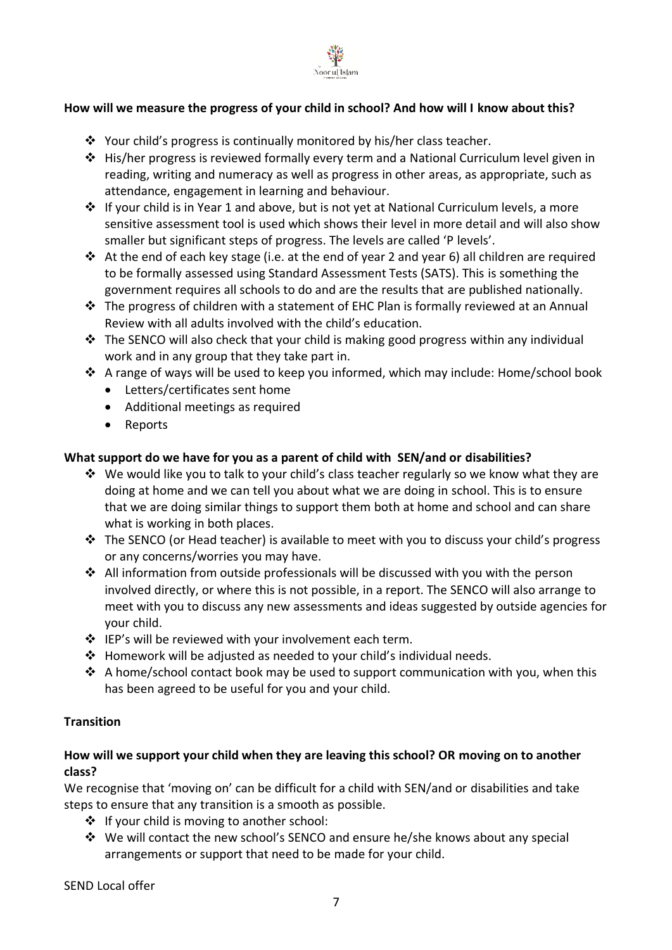

## **How will we measure the progress of your child in school? And how will I know about this?**

- ❖ Your child's progress is continually monitored by his/her class teacher.
- ❖ His/her progress is reviewed formally every term and a National Curriculum level given in reading, writing and numeracy as well as progress in other areas, as appropriate, such as attendance, engagement in learning and behaviour.
- ❖ If your child is in Year 1 and above, but is not yet at National Curriculum levels, a more sensitive assessment tool is used which shows their level in more detail and will also show smaller but significant steps of progress. The levels are called 'P levels'.
- ❖ At the end of each key stage (i.e. at the end of year 2 and year 6) all children are required to be formally assessed using Standard Assessment Tests (SATS). This is something the government requires all schools to do and are the results that are published nationally.
- ❖ The progress of children with a statement of EHC Plan is formally reviewed at an Annual Review with all adults involved with the child's education.
- $\cdot \cdot$  The SENCO will also check that your child is making good progress within any individual work and in any group that they take part in.
- $\dots$  A range of ways will be used to keep you informed, which may include: Home/school book
	- Letters/certificates sent home
	- Additional meetings as required
	- Reports

#### **What support do we have for you as a parent of child with SEN/and or disabilities?**

- $\dots$  We would like you to talk to your child's class teacher regularly so we know what they are doing at home and we can tell you about what we are doing in school. This is to ensure that we are doing similar things to support them both at home and school and can share what is working in both places.
- ❖ The SENCO (or Head teacher) is available to meet with you to discuss your child's progress or any concerns/worries you may have.
- ❖ All information from outside professionals will be discussed with you with the person involved directly, or where this is not possible, in a report. The SENCO will also arrange to meet with you to discuss any new assessments and ideas suggested by outside agencies for your child.
- ❖ IEP's will be reviewed with your involvement each term.
- ❖ Homework will be adjusted as needed to your child's individual needs.
- ❖ A home/school contact book may be used to support communication with you, when this has been agreed to be useful for you and your child.

#### **Transition**

### **How will we support your child when they are leaving this school? OR moving on to another class?**

We recognise that 'moving on' can be difficult for a child with SEN/and or disabilities and take steps to ensure that any transition is a smooth as possible.

- ❖ If your child is moving to another school:
- ❖ We will contact the new school's SENCO and ensure he/she knows about any special arrangements or support that need to be made for your child.